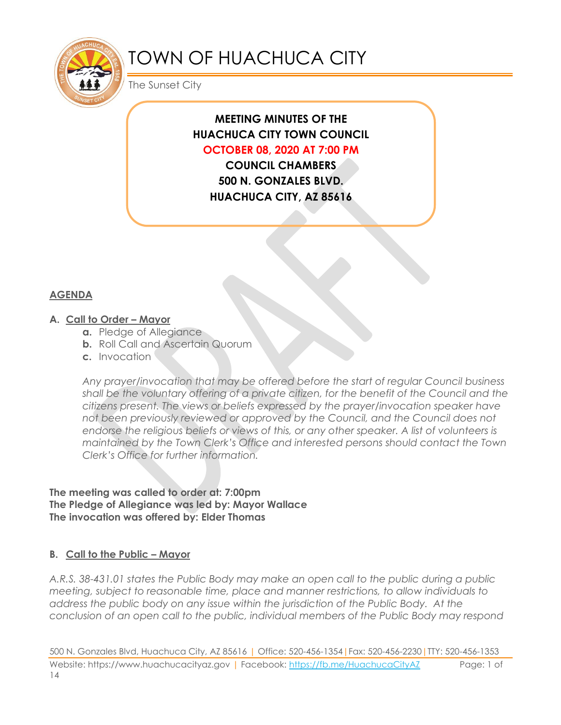

# TOWN OF HUACHUCA CITY

The Sunset City

# **MEETING MINUTES OF THE HUACHUCA CITY TOWN COUNCIL OCTOBER 08, 2020 AT 7:00 PM**

**COUNCIL CHAMBERS 500 N. GONZALES BLVD. HUACHUCA CITY, AZ 85616**

## **AGENDA**

## **A. Call to Order – Mayor**

- **a.** Pledge of Allegiance
- **b.** Roll Call and Ascertain Quorum
- **c.** Invocation

*Any prayer/invocation that may be offered before the start of regular Council business shall be the voluntary offering of a private citizen, for the benefit of the Council and the citizens present. The views or beliefs expressed by the prayer/invocation speaker have not been previously reviewed or approved by the Council, and the Council does not endorse the religious beliefs or views of this, or any other speaker. A list of volunteers is maintained by the Town Clerk's Office and interested persons should contact the Town Clerk's Office for further information.*

**The meeting was called to order at: 7:00pm The Pledge of Allegiance was led by: Mayor Wallace The invocation was offered by: Elder Thomas**

## **B. Call to the Public – Mayor**

*A.R.S. 38-431.01 states the Public Body may make an open call to the public during a public meeting, subject to reasonable time, place and manner restrictions, to allow individuals to address the public body on any issue within the jurisdiction of the Public Body. At the conclusion of an open call to the public, individual members of the Public Body may respond* 

500 N. Gonzales Blvd, Huachuca City, AZ 85616 | Office: 520-456-1354|Fax: 520-456-2230|TTY: 520-456-1353 Website: https://www.huachucacityaz.gov | Facebook:<https://fb.me/HuachucaCityAZ> Page: 1 of 14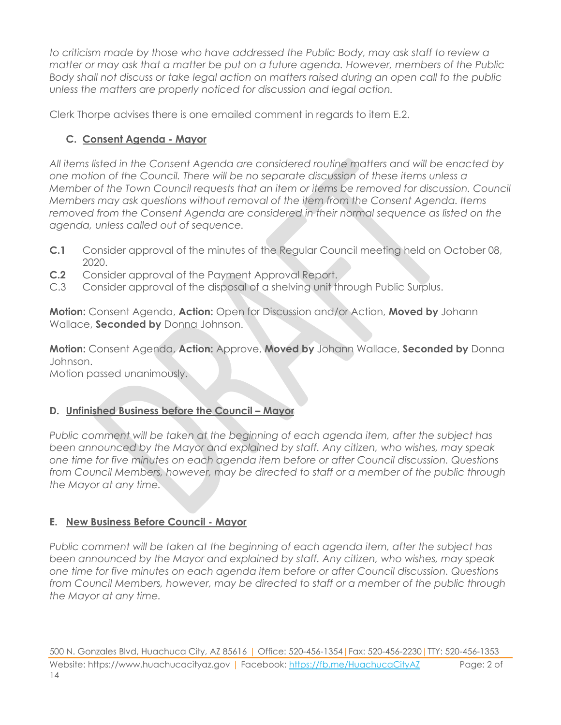*to criticism made by those who have addressed the Public Body, may ask staff to review a matter or may ask that a matter be put on a future agenda. However, members of the Public Body shall not discuss or take legal action on matters raised during an open call to the public unless the matters are properly noticed for discussion and legal action.*

Clerk Thorpe advises there is one emailed comment in regards to item E.2.

## **C. Consent Agenda - Mayor**

*All items listed in the Consent Agenda are considered routine matters and will be enacted by one motion of the Council. There will be no separate discussion of these items unless a Member of the Town Council requests that an item or items be removed for discussion. Council Members may ask questions without removal of the item from the Consent Agenda. Items removed from the Consent Agenda are considered in their normal sequence as listed on the agenda, unless called out of sequence.*

- **C.1** Consider approval of the minutes of the Regular Council meeting held on October 08, 2020.
- **C.2** Consider approval of the Payment Approval Report.
- C.3 Consider approval of the disposal of a shelving unit through Public Surplus.

**Motion:** Consent Agenda, **Action:** Open for Discussion and/or Action, **Moved by** Johann Wallace, **Seconded by** Donna Johnson.

**Motion:** Consent Agenda, **Action:** Approve, **Moved by** Johann Wallace, **Seconded by** Donna Johnson. Motion passed unanimously.

## **D.** Unfinished Business before the Council – Mayor

*Public comment will be taken at the beginning of each agenda item, after the subject has been announced by the Mayor and explained by staff. Any citizen, who wishes, may speak one time for five minutes on each agenda item before or after Council discussion. Questions from Council Members, however, may be directed to staff or a member of the public through the Mayor at any time.*

## **E. New Business Before Council - Mayor**

*Public comment will be taken at the beginning of each agenda item, after the subject has been announced by the Mayor and explained by staff. Any citizen, who wishes, may speak one time for five minutes on each agenda item before or after Council discussion. Questions from Council Members, however, may be directed to staff or a member of the public through the Mayor at any time.*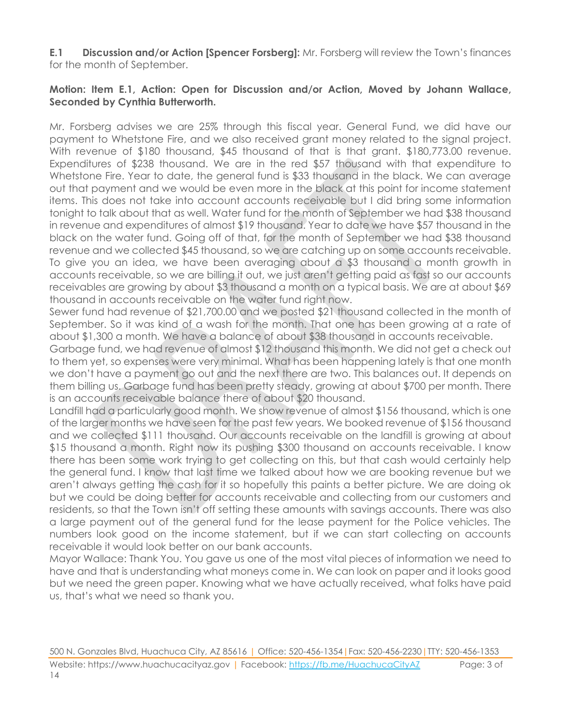**E.1 Discussion and/or Action [Spencer Forsberg]:** Mr. Forsberg will review the Town's finances for the month of September.

#### **Motion: Item E.1, Action: Open for Discussion and/or Action, Moved by Johann Wallace, Seconded by Cynthia Butterworth.**

Mr. Forsberg advises we are 25% through this fiscal year. General Fund, we did have our payment to Whetstone Fire, and we also received grant money related to the signal project. With revenue of \$180 thousand, \$45 thousand of that is that grant. \$180,773.00 revenue. Expenditures of \$238 thousand. We are in the red \$57 thousand with that expenditure to Whetstone Fire. Year to date, the general fund is \$33 thousand in the black. We can average out that payment and we would be even more in the black at this point for income statement items. This does not take into account accounts receivable but I did bring some information tonight to talk about that as well. Water fund for the month of September we had \$38 thousand in revenue and expenditures of almost \$19 thousand. Year to date we have \$57 thousand in the black on the water fund. Going off of that, for the month of September we had \$38 thousand revenue and we collected \$45 thousand, so we are catching up on some accounts receivable. To give you an idea, we have been averaging about a \$3 thousand a month growth in accounts receivable, so we are billing it out, we just aren't getting paid as fast so our accounts receivables are growing by about \$3 thousand a month on a typical basis. We are at about \$69 thousand in accounts receivable on the water fund right now.

Sewer fund had revenue of \$21,700.00 and we posted \$21 thousand collected in the month of September. So it was kind of a wash for the month. That one has been growing at a rate of about \$1,300 a month. We have a balance of about \$38 thousand in accounts receivable.

Garbage fund, we had revenue of almost \$12 thousand this month. We did not get a check out to them yet, so expenses were very minimal. What has been happening lately is that one month we don't have a payment go out and the next there are two. This balances out. It depends on them billing us. Garbage fund has been pretty steady, growing at about \$700 per month. There is an accounts receivable balance there of about \$20 thousand.

Landfill had a particularly good month. We show revenue of almost \$156 thousand, which is one of the larger months we have seen for the past few years. We booked revenue of \$156 thousand and we collected \$111 thousand. Our accounts receivable on the landfill is growing at about \$15 thousand a month. Right now its pushing \$300 thousand on accounts receivable. I know there has been some work trying to get collecting on this, but that cash would certainly help the general fund. I know that last time we talked about how we are booking revenue but we aren't always getting the cash for it so hopefully this paints a better picture. We are doing ok but we could be doing better for accounts receivable and collecting from our customers and residents, so that the Town isn't off setting these amounts with savings accounts. There was also a large payment out of the general fund for the lease payment for the Police vehicles. The numbers look good on the income statement, but if we can start collecting on accounts receivable it would look better on our bank accounts.

Mayor Wallace: Thank You. You gave us one of the most vital pieces of information we need to have and that is understanding what moneys come in. We can look on paper and it looks good but we need the green paper. Knowing what we have actually received, what folks have paid us, that's what we need so thank you.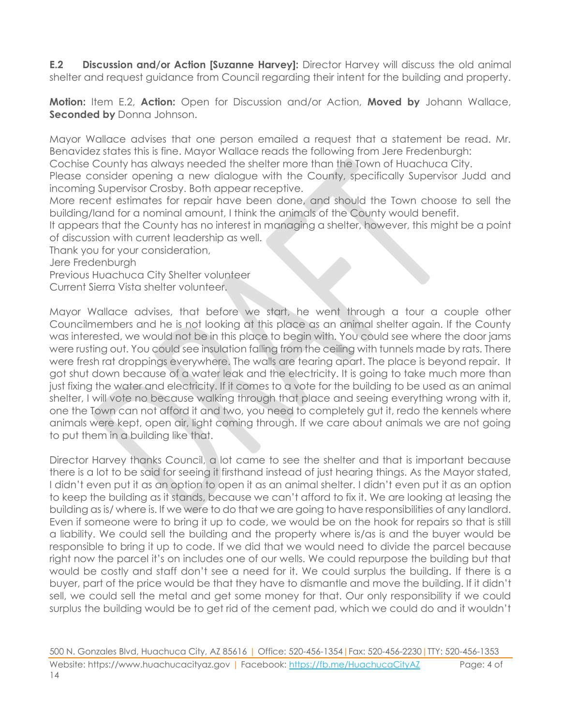**E.2 Discussion and/or Action [Suzanne Harvey]:** Director Harvey will discuss the old animal shelter and request guidance from Council regarding their intent for the building and property.

**Motion:** Item E.2, **Action:** Open for Discussion and/or Action, **Moved by** Johann Wallace, **Seconded by** Donna Johnson.

Mayor Wallace advises that one person emailed a request that a statement be read. Mr. Benavidez states this is fine. Mayor Wallace reads the following from Jere Fredenburgh:

Cochise County has always needed the shelter more than the Town of Huachuca City.

Please consider opening a new dialogue with the County, specifically Supervisor Judd and incoming Supervisor Crosby. Both appear receptive.

More recent estimates for repair have been done, and should the Town choose to sell the building/land for a nominal amount, I think the animals of the County would benefit.

It appears that the County has no interest in managing a shelter, however, this might be a point of discussion with current leadership as well.

Thank you for your consideration,

Jere Fredenburgh

Previous Huachuca City Shelter volunteer

Current Sierra Vista shelter volunteer.

Mayor Wallace advises, that before we start, he went through a tour a couple other Councilmembers and he is not looking at this place as an animal shelter again. If the County was interested, we would not be in this place to begin with. You could see where the door jams were rusting out. You could see insulation falling from the ceiling with tunnels made by rats. There were fresh rat droppings everywhere. The walls are tearing apart. The place is beyond repair. It got shut down because of a water leak and the electricity. It is going to take much more than just fixing the water and electricity. If it comes to a vote for the building to be used as an animal shelter, I will vote no because walking through that place and seeing everything wrong with it, one the Town can not afford it and two, you need to completely gut it, redo the kennels where animals were kept, open air, light coming through. If we care about animals we are not going to put them in a building like that.

Director Harvey thanks Council, a lot came to see the shelter and that is important because there is a lot to be said for seeing it firsthand instead of just hearing things. As the Mayor stated, I didn't even put it as an option to open it as an animal shelter. I didn't even put it as an option to keep the building as it stands, because we can't afford to fix it. We are looking at leasing the building as is/ where is. If we were to do that we are going to have responsibilities of any landlord. Even if someone were to bring it up to code, we would be on the hook for repairs so that is still a liability. We could sell the building and the property where is/as is and the buyer would be responsible to bring it up to code. If we did that we would need to divide the parcel because right now the parcel it's on includes one of our wells. We could repurpose the building but that would be costly and staff don't see a need for it. We could surplus the building. If there is a buyer, part of the price would be that they have to dismantle and move the building. If it didn't sell, we could sell the metal and get some money for that. Our only responsibility if we could surplus the building would be to get rid of the cement pad, which we could do and it wouldn't

500 N. Gonzales Blvd, Huachuca City, AZ 85616 | Office: 520-456-1354|Fax: 520-456-2230|TTY: 520-456-1353 Website: https://www.huachucacityaz.gov | Facebook:<https://fb.me/HuachucaCityAZ> Page: 4 of 14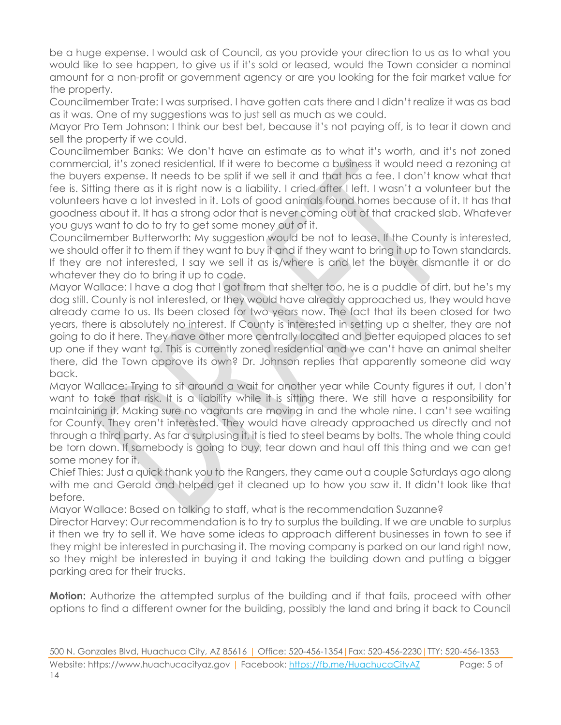be a huge expense. I would ask of Council, as you provide your direction to us as to what you would like to see happen, to give us if it's sold or leased, would the Town consider a nominal amount for a non-profit or government agency or are you looking for the fair market value for the property.

Councilmember Trate: I was surprised. I have gotten cats there and I didn't realize it was as bad as it was. One of my suggestions was to just sell as much as we could.

Mayor Pro Tem Johnson: I think our best bet, because it's not paying off, is to tear it down and sell the property if we could.

Councilmember Banks: We don't have an estimate as to what it's worth, and it's not zoned commercial, it's zoned residential. If it were to become a business it would need a rezoning at the buyers expense. It needs to be split if we sell it and that has a fee. I don't know what that fee is. Sitting there as it is right now is a liability. I cried after I left. I wasn't a volunteer but the volunteers have a lot invested in it. Lots of good animals found homes because of it. It has that goodness about it. It has a strong odor that is never coming out of that cracked slab. Whatever you guys want to do to try to get some money out of it.

Councilmember Butterworth: My suggestion would be not to lease. If the County is interested, we should offer it to them if they want to buy it and if they want to bring it up to Town standards. If they are not interested, I say we sell it as is/where is and let the buyer dismantle it or do whatever they do to bring it up to code.

Mayor Wallace: I have a dog that I got from that shelter too, he is a puddle of dirt, but he's my dog still. County is not interested, or they would have already approached us, they would have already came to us. Its been closed for two years now. The fact that its been closed for two years, there is absolutely no interest. If County is interested in setting up a shelter, they are not going to do it here. They have other more centrally located and better equipped places to set up one if they want to. This is currently zoned residential and we can't have an animal shelter there, did the Town approve its own? Dr. Johnson replies that apparently someone did way back.

Mayor Wallace: Trying to sit around a wait for another year while County figures it out, I don't want to take that risk. It is a liability while it is sitting there. We still have a responsibility for maintaining it. Making sure no vagrants are moving in and the whole nine. I can't see waiting for County. They aren't interested. They would have already approached us directly and not through a third party. As far a surplusing it, it is tied to steel beams by bolts. The whole thing could be torn down. If somebody is going to buy, tear down and haul off this thing and we can get some money for it.

Chief Thies: Just a quick thank you to the Rangers, they came out a couple Saturdays ago along with me and Gerald and helped get it cleaned up to how you saw it. It didn't look like that before.

Mayor Wallace: Based on talking to staff, what is the recommendation Suzanne?

Director Harvey: Our recommendation is to try to surplus the building. If we are unable to surplus it then we try to sell it. We have some ideas to approach different businesses in town to see if they might be interested in purchasing it. The moving company is parked on our land right now, so they might be interested in buying it and taking the building down and putting a bigger parking area for their trucks.

**Motion:** Authorize the attempted surplus of the building and if that fails, proceed with other options to find a different owner for the building, possibly the land and bring it back to Council

500 N. Gonzales Blvd, Huachuca City, AZ 85616 | Office: 520-456-1354|Fax: 520-456-2230|TTY: 520-456-1353 Website: https://www.huachucacityaz.gov | Facebook:<https://fb.me/HuachucaCityAZ> Page: 5 of 14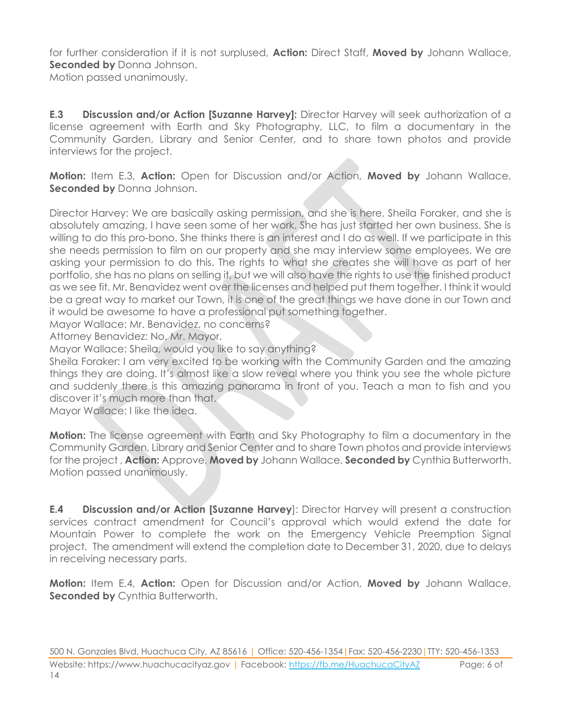for further consideration if it is not surplused, **Action:** Direct Staff, **Moved by** Johann Wallace, **Seconded by** Donna Johnson. Motion passed unanimously.

**E.3 Discussion and/or Action [Suzanne Harvey]:** Director Harvey will seek authorization of a license agreement with Earth and Sky Photography, LLC, to film a documentary in the Community Garden, Library and Senior Center, and to share town photos and provide interviews for the project.

**Motion:** Item E.3, **Action:** Open for Discussion and/or Action, **Moved by** Johann Wallace, **Seconded by** Donna Johnson.

Director Harvey: We are basically asking permission, and she is here, Sheila Foraker, and she is absolutely amazing, I have seen some of her work. She has just started her own business. She is willing to do this pro-bono. She thinks there is an interest and I do as well. If we participate in this she needs permission to film on our property and she may interview some employees. We are asking your permission to do this. The rights to what she creates she will have as part of her portfolio, she has no plans on selling it, but we will also have the rights to use the finished product as we see fit. Mr. Benavidez went over the licenses and helped put them together. I think it would be a great way to market our Town, it is one of the great things we have done in our Town and it would be awesome to have a professional put something together.

Mayor Wallace: Mr. Benavidez, no concerns?

Attorney Benavidez: No, Mr. Mayor.

Mayor Wallace: Sheila, would you like to say anything?

Sheila Foraker: I am very excited to be working with the Community Garden and the amazing things they are doing. It's almost like a slow reveal where you think you see the whole picture and suddenly there is this amazing panorama in front of you. Teach a man to fish and you discover it's much more than that.

Mayor Wallace: I like the idea.

**Motion:** The license agreement with Earth and Sky Photography to film a documentary in the Community Garden, Library and Senior Center and to share Town photos and provide interviews for the project , **Action:** Approve, **Moved by** Johann Wallace, **Seconded by** Cynthia Butterworth. Motion passed unanimously.

**E.4 Discussion and/or Action [Suzanne Harvey**]: Director Harvey will present a construction services contract amendment for Council's approval which would extend the date for Mountain Power to complete the work on the Emergency Vehicle Preemption Signal project. The amendment will extend the completion date to December 31, 2020, due to delays in receiving necessary parts.

**Motion:** Item E.4, **Action:** Open for Discussion and/or Action, **Moved by** Johann Wallace, **Seconded by Cynthia Butterworth.**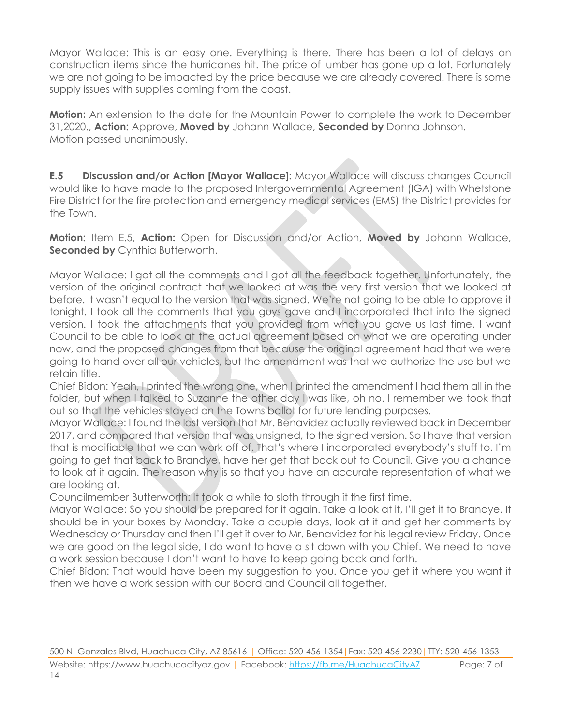Mayor Wallace: This is an easy one. Everything is there. There has been a lot of delays on construction items since the hurricanes hit. The price of lumber has gone up a lot. Fortunately we are not going to be impacted by the price because we are already covered. There is some supply issues with supplies coming from the coast.

**Motion:** An extension to the date for the Mountain Power to complete the work to December 31,2020., **Action:** Approve, **Moved by** Johann Wallace, **Seconded by** Donna Johnson. Motion passed unanimously.

**E.5 Discussion and/or Action [Mayor Wallace]:** Mayor Wallace will discuss changes Council would like to have made to the proposed Intergovernmental Agreement (IGA) with Whetstone Fire District for the fire protection and emergency medical services (EMS) the District provides for the Town.

**Motion:** Item E.5, **Action:** Open for Discussion and/or Action, **Moved by** Johann Wallace, **Seconded by** Cynthia Butterworth.

Mayor Wallace: I got all the comments and I got all the feedback together. Unfortunately, the version of the original contract that we looked at was the very first version that we looked at before. It wasn't equal to the version that was signed. We're not going to be able to approve it tonight. I took all the comments that you guys gave and I incorporated that into the signed version. I took the attachments that you provided from what you gave us last time. I want Council to be able to look at the actual agreement based on what we are operating under now, and the proposed changes from that because the original agreement had that we were going to hand over all our vehicles, but the amendment was that we authorize the use but we retain title.

Chief Bidon: Yeah, I printed the wrong one, when I printed the amendment I had them all in the folder, but when I talked to Suzanne the other day I was like, oh no. I remember we took that out so that the vehicles stayed on the Towns ballot for future lending purposes.

Mayor Wallace: I found the last version that Mr. Benavidez actually reviewed back in December 2017, and compared that version that was unsigned, to the signed version. So I have that version that is modifiable that we can work off of. That's where I incorporated everybody's stuff to. I'm going to get that back to Brandye, have her get that back out to Council. Give you a chance to look at it again. The reason why is so that you have an accurate representation of what we are looking at.

Councilmember Butterworth: It took a while to sloth through it the first time.

Mayor Wallace: So you should be prepared for it again. Take a look at it, I'll get it to Brandye. It should be in your boxes by Monday. Take a couple days, look at it and get her comments by Wednesday or Thursday and then I'll get it over to Mr. Benavidez for his legal review Friday. Once we are good on the legal side, I do want to have a sit down with you Chief. We need to have a work session because I don't want to have to keep going back and forth.

Chief Bidon: That would have been my suggestion to you. Once you get it where you want it then we have a work session with our Board and Council all together.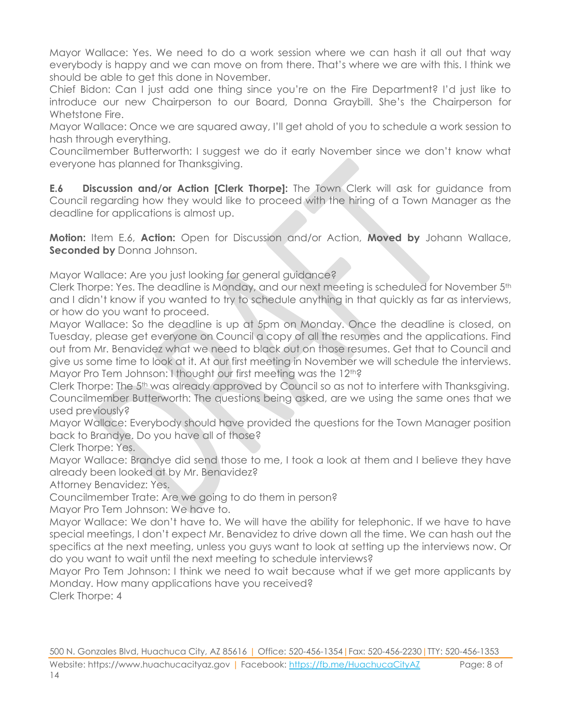Mayor Wallace: Yes. We need to do a work session where we can hash it all out that way everybody is happy and we can move on from there. That's where we are with this. I think we should be able to get this done in November.

Chief Bidon: Can I just add one thing since you're on the Fire Department? I'd just like to introduce our new Chairperson to our Board, Donna Graybill. She's the Chairperson for Whetstone Fire.

Mayor Wallace: Once we are squared away, I'll get ahold of you to schedule a work session to hash through everything.

Councilmember Butterworth: I suggest we do it early November since we don't know what everyone has planned for Thanksgiving.

**E.6 Discussion and/or Action [Clerk Thorpe]:** The Town Clerk will ask for guidance from Council regarding how they would like to proceed with the hiring of a Town Manager as the deadline for applications is almost up.

**Motion:** Item E.6, **Action:** Open for Discussion and/or Action, **Moved by** Johann Wallace, **Seconded by** Donna Johnson.

Mayor Wallace: Are you just looking for general guidance?

Clerk Thorpe: Yes. The deadline is Monday, and our next meeting is scheduled for November 5th and I didn't know if you wanted to try to schedule anything in that quickly as far as interviews, or how do you want to proceed.

Mayor Wallace: So the deadline is up at 5pm on Monday. Once the deadline is closed, on Tuesday, please get everyone on Council a copy of all the resumes and the applications. Find out from Mr. Benavidez what we need to black out on those resumes. Get that to Council and give us some time to look at it. At our first meeting in November we will schedule the interviews. Mayor Pro Tem Johnson: I thought our first meeting was the 12<sup>th?</sup>

Clerk Thorpe: The 5th was already approved by Council so as not to interfere with Thanksgiving. Councilmember Butterworth: The questions being asked, are we using the same ones that we used previously?

Mayor Wallace: Everybody should have provided the questions for the Town Manager position back to Brandye. Do you have all of those?

Clerk Thorpe: Yes.

Mayor Wallace: Brandye did send those to me, I took a look at them and I believe they have already been looked at by Mr. Benavidez?

Attorney Benavidez: Yes.

Councilmember Trate: Are we going to do them in person?

Mayor Pro Tem Johnson: We have to.

Mayor Wallace: We don't have to. We will have the ability for telephonic. If we have to have special meetings, I don't expect Mr. Benavidez to drive down all the time. We can hash out the specifics at the next meeting, unless you guys want to look at setting up the interviews now. Or do you want to wait until the next meeting to schedule interviews?

Mayor Pro Tem Johnson: I think we need to wait because what if we get more applicants by Monday. How many applications have you received?

Clerk Thorpe: 4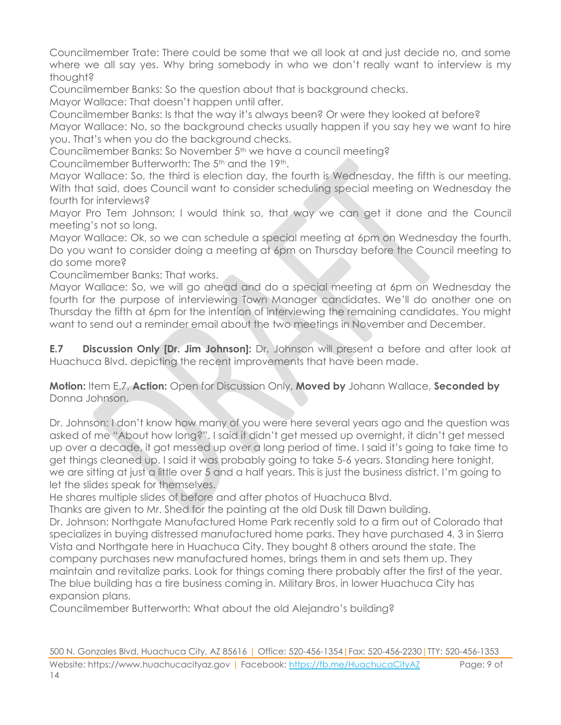Councilmember Trate: There could be some that we all look at and just decide no, and some where we all say yes. Why bring somebody in who we don't really want to interview is my thought?

Councilmember Banks: So the question about that is background checks.

Mayor Wallace: That doesn't happen until after.

Councilmember Banks: Is that the way it's always been? Or were they looked at before? Mayor Wallace: No, so the background checks usually happen if you say hey we want to hire you. That's when you do the background checks.

Councilmember Banks: So November 5<sup>th</sup> we have a council meeting?

Councilmember Butterworth: The 5th and the 19th.

Mayor Wallace: So, the third is election day, the fourth is Wednesday, the fifth is our meeting. With that said, does Council want to consider scheduling special meeting on Wednesday the fourth for interviews?

Mayor Pro Tem Johnson: I would think so, that way we can get it done and the Council meeting's not so long.

Mayor Wallace: Ok, so we can schedule a special meeting at 6pm on Wednesday the fourth. Do you want to consider doing a meeting at 6pm on Thursday before the Council meeting to do some more?

Councilmember Banks: That works.

Mayor Wallace: So, we will go ahead and do a special meeting at 6pm on Wednesday the fourth for the purpose of interviewing Town Manager candidates. We'll do another one on Thursday the fifth at 6pm for the intention of interviewing the remaining candidates. You might want to send out a reminder email about the two meetings in November and December.

**E.7 Discussion Only [Dr. Jim Johnson]:** Dr. Johnson will present a before and after look at Huachuca Blvd. depicting the recent improvements that have been made.

#### **Motion:** Item E.7, **Action:** Open for Discussion Only, **Moved by** Johann Wallace, **Seconded by** Donna Johnson.

Dr. Johnson: I don't know how many of you were here several years ago and the question was asked of me "About how long?". I said it didn't get messed up overnight, it didn't get messed up over a decade, it got messed up over a long period of time. I said it's going to take time to get things cleaned up. I said it was probably going to take 5-6 years. Standing here tonight, we are sitting at just a little over 5 and a half years. This is just the business district. I'm going to let the slides speak for themselves.

He shares multiple slides of before and after photos of Huachuca Blvd.

Thanks are given to Mr. Shed for the painting at the old Dusk till Dawn building. Dr. Johnson: Northgate Manufactured Home Park recently sold to a firm out of Colorado that specializes in buying distressed manufactured home parks. They have purchased 4, 3 in Sierra Vista and Northgate here in Huachuca City. They bought 8 others around the state. The company purchases new manufactured homes, brings them in and sets them up. They maintain and revitalize parks. Look for things coming there probably after the first of the year. The blue building has a tire business coming in. Military Bros. in lower Huachuca City has expansion plans.

Councilmember Butterworth: What about the old Alejandro's building?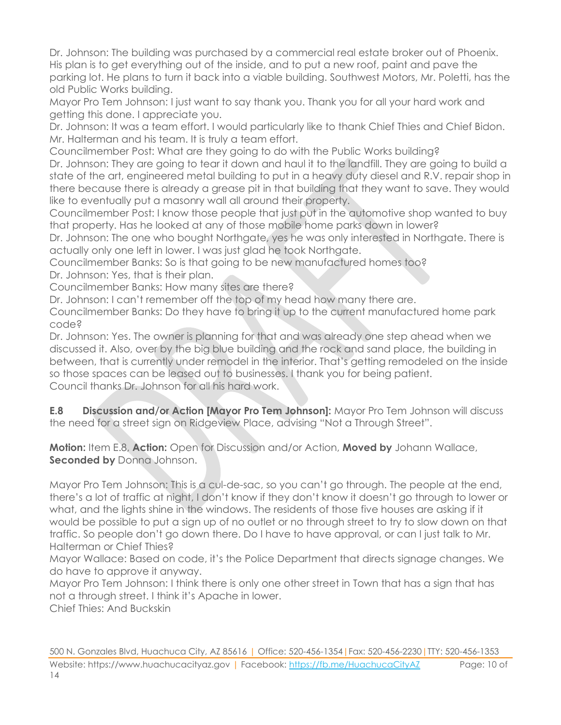Dr. Johnson: The building was purchased by a commercial real estate broker out of Phoenix. His plan is to get everything out of the inside, and to put a new roof, paint and pave the parking lot. He plans to turn it back into a viable building. Southwest Motors, Mr. Poletti, has the old Public Works building.

Mayor Pro Tem Johnson: I just want to say thank you. Thank you for all your hard work and getting this done. I appreciate you.

Dr. Johnson: It was a team effort. I would particularly like to thank Chief Thies and Chief Bidon. Mr. Halterman and his team. It is truly a team effort.

Councilmember Post: What are they going to do with the Public Works building?

Dr. Johnson: They are going to tear it down and haul it to the landfill. They are going to build a state of the art, engineered metal building to put in a heavy duty diesel and R.V. repair shop in there because there is already a grease pit in that building that they want to save. They would like to eventually put a masonry wall all around their property.

Councilmember Post: I know those people that just put in the automotive shop wanted to buy that property. Has he looked at any of those mobile home parks down in lower?

Dr. Johnson: The one who bought Northgate, yes he was only interested in Northgate. There is actually only one left in lower. I was just glad he took Northgate.

Councilmember Banks: So is that going to be new manufactured homes too? Dr. Johnson: Yes, that is their plan.

Councilmember Banks: How many sites are there?

Dr. Johnson: I can't remember off the top of my head how many there are.

Councilmember Banks: Do they have to bring it up to the current manufactured home park code?

Dr. Johnson: Yes. The owner is planning for that and was already one step ahead when we discussed it. Also, over by the big blue building and the rock and sand place, the building in between, that is currently under remodel in the interior. That's getting remodeled on the inside so those spaces can be leased out to businesses. I thank you for being patient. Council thanks Dr. Johnson for all his hard work.

**E.8 Discussion and/or Action [Mayor Pro Tem Johnson]:** Mayor Pro Tem Johnson will discuss the need for a street sign on Ridgeview Place, advising "Not a Through Street".

**Motion:** Item E.8, **Action:** Open for Discussion and/or Action, **Moved by** Johann Wallace, **Seconded by** Donna Johnson.

Mayor Pro Tem Johnson: This is a cul-de-sac, so you can't go through. The people at the end, there's a lot of traffic at night, I don't know if they don't know it doesn't go through to lower or what, and the lights shine in the windows. The residents of those five houses are asking if it would be possible to put a sign up of no outlet or no through street to try to slow down on that traffic. So people don't go down there. Do I have to have approval, or can I just talk to Mr. Halterman or Chief Thies?

Mayor Wallace: Based on code, it's the Police Department that directs signage changes. We do have to approve it anyway.

Mayor Pro Tem Johnson: I think there is only one other street in Town that has a sign that has not a through street. I think it's Apache in lower.

Chief Thies: And Buckskin

500 N. Gonzales Blvd, Huachuca City, AZ 85616 | Office: 520-456-1354|Fax: 520-456-2230|TTY: 520-456-1353 Website: https://www.huachucacityaz.gov | Facebook:<https://fb.me/HuachucaCityAZ> Page: 10 of 14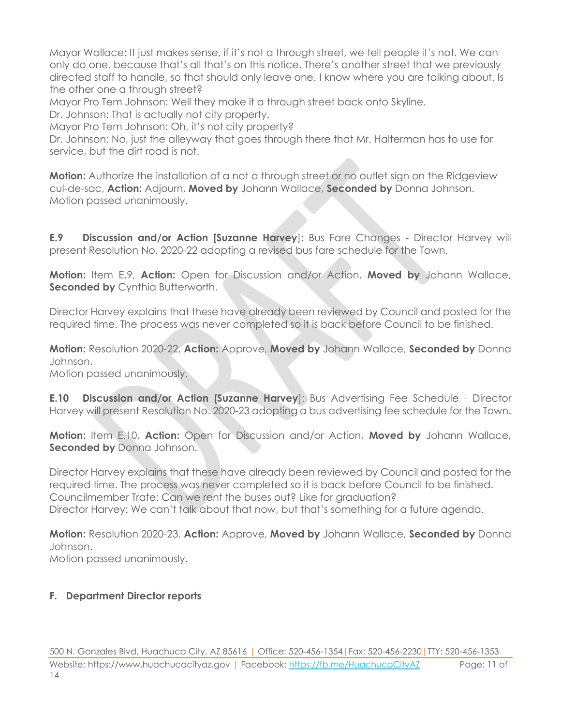Mayor Wallace: It just makes sense, if it's not a through street, we tell people it's not. We can only do one, because that's all that's on this notice. There's another street that we previously directed staff to handle, so that should only leave one. I know where you are talking about. Is the other one a through street?

Mayor Pro Tem Johnson: Well they make it a through street back onto Skyline.

Dr. Johnson: That is actually not city property.

Mayor Pro Tem Johnson: Oh, it's not city property?

Dr. Johnson: No, just the alleyway that goes through there that Mr. Halterman has to use for service, but the dirt road is not.

**Motion:** Authorize the installation of a not a through street or no outlet sign on the Ridgeview cul-de-sac, **Action:** Adjourn, **Moved by** Johann Wallace, **Seconded by** Donna Johnson. Motion passed unanimously.

**E.9 Discussion and/or Action [Suzanne Harvey**]: Bus Fare Changes - Director Harvey will present Resolution No. 2020-22 adopting a revised bus fare schedule for the Town.

**Motion:** Item E.9, **Action:** Open for Discussion and/or Action, **Moved by** Johann Wallace, **Seconded by Cynthia Butterworth.** 

Director Harvey explains that these have already been reviewed by Council and posted for the required time. The process was never completed so it is back before Council to be finished.

**Motion:** Resolution 2020-22, **Action:** Approve, **Moved by** Johann Wallace, **Seconded by** Donna Johnson. Motion passed unanimously.

**E.10 Discussion and/or Action [Suzanne Harvey**]: Bus Advertising Fee Schedule - Director Harvey will present Resolution No. 2020-23 adopting a bus advertising fee schedule for the Town.

**Motion:** Item E.10, **Action:** Open for Discussion and/or Action, **Moved by** Johann Wallace, **Seconded by** Donna Johnson.

Director Harvey explains that these have already been reviewed by Council and posted for the required time. The process was never completed so it is back before Council to be finished. Councilmember Trate: Can we rent the buses out? Like for graduation? Director Harvey: We can't talk about that now, but that's something for a future agenda.

**Motion:** Resolution 2020-23, **Action:** Approve, **Moved by** Johann Wallace, **Seconded by** Donna Johnson.

Motion passed unanimously.

#### **F. Department Director reports**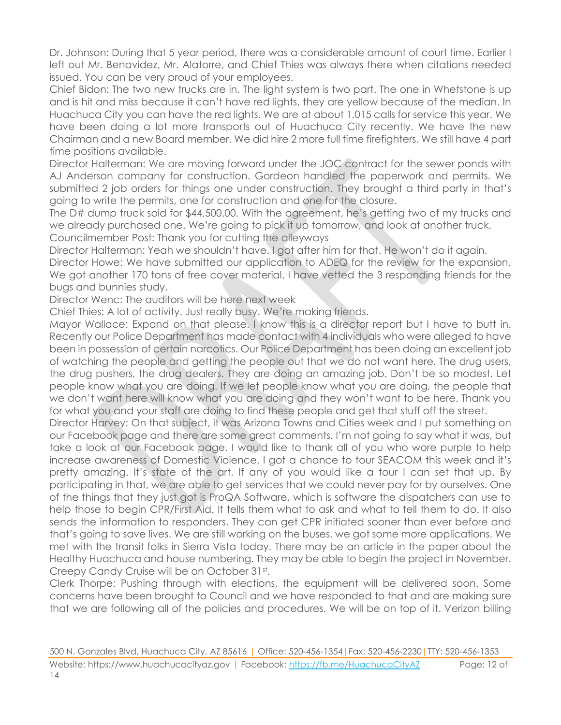Dr. Johnson: During that 5 year period, there was a considerable amount of court time. Earlier I left out Mr. Benavidez, Mr. Alatorre, and Chief Thies was always there when citations needed issued. You can be very proud of your employees.

Chief Bidon: The two new trucks are in. The light system is two part. The one in Whetstone is up and is hit and miss because it can't have red lights, they are yellow because of the median. In Huachuca City you can have the red lights. We are at about 1,015 calls for service this year. We have been doing a lot more transports out of Huachuca City recently. We have the new Chairman and a new Board member. We did hire 2 more full time firefighters. We still have 4 part time positions available.

Director Halterman: We are moving forward under the JOC contract for the sewer ponds with AJ Anderson company for construction. Gordeon handled the paperwork and permits. We submitted 2 job orders for things one under construction. They brought a third party in that's going to write the permits, one for construction and one for the closure.

The D# dump truck sold for \$44,500.00. With the agreement, he's getting two of my trucks and we already purchased one. We're going to pick it up tomorrow, and look at another truck. Councilmember Post: Thank you for cutting the alleyways

Director Halterman: Yeah we shouldn't have. I got after him for that. He won't do it again.

Director Howe: We have submitted our application to ADEQ for the review for the expansion. We got another 170 tons of free cover material. I have vetted the 3 responding friends for the bugs and bunnies study.

Director Wenc: The auditors will be here next week

Chief Thies: A lot of activity. Just really busy. We're making friends.

Mayor Wallace: Expand on that please. I know this is a director report but I have to butt in. Recently our Police Department has made contact with 4 individuals who were alleged to have been in possession of certain narcotics. Our Police Department has been doing an excellent job of watching the people and getting the people out that we do not want here. The drug users, the drug pushers, the drug dealers. They are doing an amazing job. Don't be so modest. Let people know what you are doing. If we let people know what you are doing, the people that we don't want here will know what you are doing and they won't want to be here. Thank you for what you and your staff are doing to find these people and get that stuff off the street.

Director Harvey: On that subject, it was Arizona Towns and Cities week and I put something on our Facebook page and there are some great comments. I'm not going to say what it was, but take a look at our Facebook page. I would like to thank all of you who wore purple to help increase awareness of Domestic Violence. I got a chance to tour SEACOM this week and it's pretty amazing. It's state of the art. If any of you would like a tour I can set that up. By participating in that, we are able to get services that we could never pay for by ourselves. One of the things that they just got is ProQA Software, which is software the dispatchers can use to help those to begin CPR/First Aid. It tells them what to ask and what to tell them to do. It also sends the information to responders. They can get CPR initiated sooner than ever before and that's going to save lives. We are still working on the buses, we got some more applications. We met with the transit folks in Sierra Vista today. There may be an article in the paper about the Healthy Huachuca and house numbering. They may be able to begin the project in November. Creepy Candy Cruise will be on October 31st.

Clerk Thorpe: Pushing through with elections, the equipment will be delivered soon. Some concerns have been brought to Council and we have responded to that and are making sure that we are following all of the policies and procedures. We will be on top of it. Verizon billing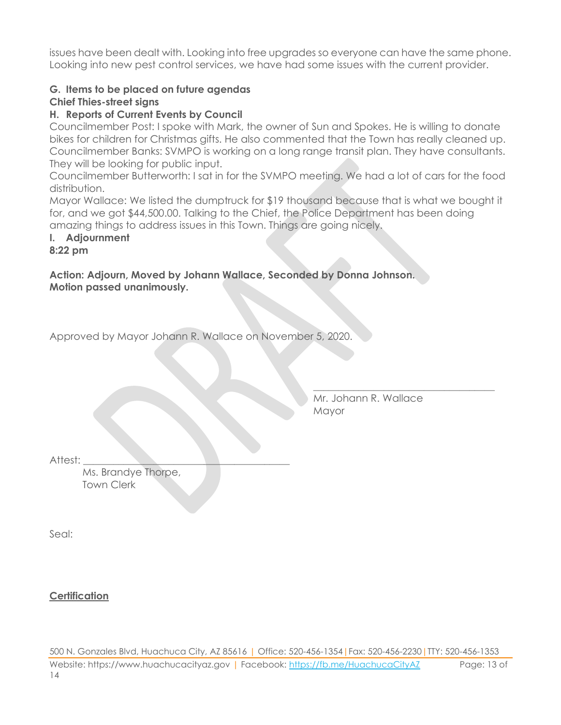issues have been dealt with. Looking into free upgrades so everyone can have the same phone. Looking into new pest control services, we have had some issues with the current provider.

#### **G. Items to be placed on future agendas**

#### **Chief Thies-street signs**

#### **H. Reports of Current Events by Council**

Councilmember Post: I spoke with Mark, the owner of Sun and Spokes. He is willing to donate bikes for children for Christmas gifts. He also commented that the Town has really cleaned up. Councilmember Banks: SVMPO is working on a long range transit plan. They have consultants. They will be looking for public input.

Councilmember Butterworth: I sat in for the SVMPO meeting. We had a lot of cars for the food distribution.

Mayor Wallace: We listed the dumptruck for \$19 thousand because that is what we bought it for, and we got \$44,500.00. Talking to the Chief, the Police Department has been doing amazing things to address issues in this Town. Things are going nicely.

## **I. Adjournment**

#### **8:22 pm**

**Action: Adjourn, Moved by Johann Wallace, Seconded by Donna Johnson. Motion passed unanimously.**

Approved by Mayor Johann R. Wallace on November 5, 2020.

Mr. Johann R. Wallace **Mayor** 

\_\_\_\_\_\_\_\_\_\_\_\_\_\_\_\_\_\_\_\_\_\_\_\_\_\_\_\_\_\_\_\_\_\_\_\_

Attest:

Ms. Brandye Thorpe, Town Clerk

Seal:

**Certification**